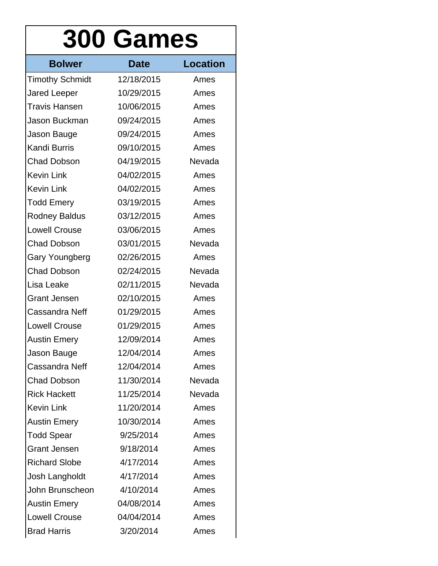## **300 Games**

| <b>Bolwer</b>          | <b>Date</b> | <b>Location</b> |
|------------------------|-------------|-----------------|
| <b>Timothy Schmidt</b> | 12/18/2015  | Ames            |
| Jared Leeper           | 10/29/2015  | Ames            |
| <b>Travis Hansen</b>   | 10/06/2015  | Ames            |
| Jason Buckman          | 09/24/2015  | Ames            |
| Jason Bauge            | 09/24/2015  | Ames            |
| <b>Kandi Burris</b>    | 09/10/2015  | Ames            |
| <b>Chad Dobson</b>     | 04/19/2015  | Nevada          |
| <b>Kevin Link</b>      | 04/02/2015  | Ames            |
| <b>Kevin Link</b>      | 04/02/2015  | Ames            |
| <b>Todd Emery</b>      | 03/19/2015  | Ames            |
| <b>Rodney Baldus</b>   | 03/12/2015  | Ames            |
| <b>Lowell Crouse</b>   | 03/06/2015  | Ames            |
| <b>Chad Dobson</b>     | 03/01/2015  | Nevada          |
| Gary Youngberg         | 02/26/2015  | Ames            |
| <b>Chad Dobson</b>     | 02/24/2015  | Nevada          |
| Lisa Leake             | 02/11/2015  | Nevada          |
| <b>Grant Jensen</b>    | 02/10/2015  | Ames            |
| Cassandra Neff         | 01/29/2015  | Ames            |
| <b>Lowell Crouse</b>   | 01/29/2015  | Ames            |
| <b>Austin Emery</b>    | 12/09/2014  | Ames            |
| Jason Bauge            | 12/04/2014  | Ames            |
| Cassandra Neff         | 12/04/2014  | Ames            |
| <b>Chad Dobson</b>     | 11/30/2014  | Nevada          |
| <b>Rick Hackett</b>    | 11/25/2014  | Nevada          |
| <b>Kevin Link</b>      | 11/20/2014  | Ames            |
| <b>Austin Emery</b>    | 10/30/2014  | Ames            |
| <b>Todd Spear</b>      | 9/25/2014   | Ames            |
| <b>Grant Jensen</b>    | 9/18/2014   | Ames            |
| <b>Richard Slobe</b>   | 4/17/2014   | Ames            |
| Josh Langholdt         | 4/17/2014   | Ames            |
| John Brunscheon        | 4/10/2014   | Ames            |
| <b>Austin Emery</b>    | 04/08/2014  | Ames            |
| <b>Lowell Crouse</b>   | 04/04/2014  | Ames            |
| <b>Brad Harris</b>     | 3/20/2014   | Ames            |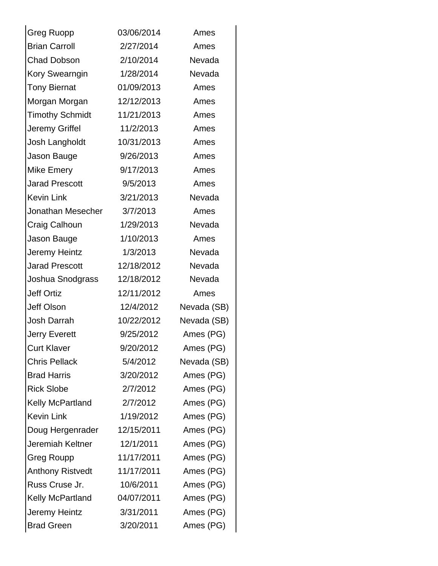| <b>Greg Ruopp</b>       | 03/06/2014 | Ames        |
|-------------------------|------------|-------------|
| <b>Brian Carroll</b>    | 2/27/2014  | Ames        |
| <b>Chad Dobson</b>      | 2/10/2014  | Nevada      |
| <b>Kory Swearngin</b>   | 1/28/2014  | Nevada      |
| <b>Tony Biernat</b>     | 01/09/2013 | Ames        |
| Morgan Morgan           | 12/12/2013 | Ames        |
| <b>Timothy Schmidt</b>  | 11/21/2013 | Ames        |
| Jeremy Griffel          | 11/2/2013  | Ames        |
| Josh Langholdt          | 10/31/2013 | Ames        |
| Jason Bauge             | 9/26/2013  | Ames        |
| <b>Mike Emery</b>       | 9/17/2013  | Ames        |
| <b>Jarad Prescott</b>   | 9/5/2013   | Ames        |
| <b>Kevin Link</b>       | 3/21/2013  | Nevada      |
| Jonathan Mesecher       | 3/7/2013   | Ames        |
| Craig Calhoun           | 1/29/2013  | Nevada      |
| Jason Bauge             | 1/10/2013  | Ames        |
| Jeremy Heintz           | 1/3/2013   | Nevada      |
| <b>Jarad Prescott</b>   | 12/18/2012 | Nevada      |
| Joshua Snodgrass        | 12/18/2012 | Nevada      |
| <b>Jeff Ortiz</b>       | 12/11/2012 | Ames        |
| <b>Jeff Olson</b>       | 12/4/2012  | Nevada (SB) |
| Josh Darrah             | 10/22/2012 | Nevada (SB) |
| <b>Jerry Everett</b>    | 9/25/2012  | Ames (PG)   |
| <b>Curt Klaver</b>      | 9/20/2012  | Ames (PG)   |
| <b>Chris Pellack</b>    | 5/4/2012   | Nevada (SB) |
| <b>Brad Harris</b>      | 3/20/2012  | Ames (PG)   |
| <b>Rick Slobe</b>       | 2/7/2012   | Ames (PG)   |
| <b>Kelly McPartland</b> | 2/7/2012   | Ames (PG)   |
| <b>Kevin Link</b>       | 1/19/2012  | Ames (PG)   |
| Doug Hergenrader        | 12/15/2011 | Ames (PG)   |
| Jeremiah Keltner        | 12/1/2011  | Ames (PG)   |
| Greg Roupp              | 11/17/2011 | Ames (PG)   |
| <b>Anthony Ristvedt</b> | 11/17/2011 | Ames (PG)   |
| Russ Cruse Jr.          | 10/6/2011  | Ames (PG)   |
| Kelly McPartland        | 04/07/2011 | Ames (PG)   |
| Jeremy Heintz           | 3/31/2011  | Ames (PG)   |
| <b>Brad Green</b>       | 3/20/2011  | Ames (PG)   |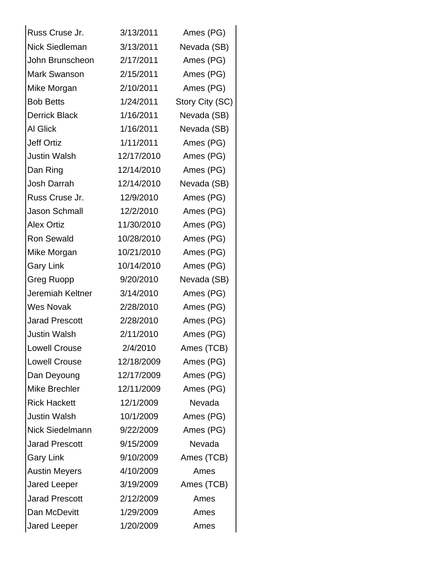| Russ Cruse Jr.        | 3/13/2011  | Ames (PG)       |
|-----------------------|------------|-----------------|
| Nick Siedleman        | 3/13/2011  | Nevada (SB)     |
| John Brunscheon       | 2/17/2011  | Ames (PG)       |
| Mark Swanson          | 2/15/2011  | Ames (PG)       |
| Mike Morgan           | 2/10/2011  | Ames (PG)       |
| <b>Bob Betts</b>      | 1/24/2011  | Story City (SC) |
| <b>Derrick Black</b>  | 1/16/2011  | Nevada (SB)     |
| <b>AI Glick</b>       | 1/16/2011  | Nevada (SB)     |
| Jeff Ortiz            | 1/11/2011  | Ames (PG)       |
| <b>Justin Walsh</b>   | 12/17/2010 | Ames (PG)       |
| Dan Ring              | 12/14/2010 | Ames (PG)       |
| Josh Darrah           | 12/14/2010 | Nevada (SB)     |
| Russ Cruse Jr.        | 12/9/2010  | Ames (PG)       |
| <b>Jason Schmall</b>  | 12/2/2010  | Ames (PG)       |
| <b>Alex Ortiz</b>     | 11/30/2010 | Ames (PG)       |
| Ron Sewald            | 10/28/2010 | Ames (PG)       |
| Mike Morgan           | 10/21/2010 | Ames (PG)       |
| <b>Gary Link</b>      | 10/14/2010 | Ames (PG)       |
| <b>Greg Ruopp</b>     | 9/20/2010  | Nevada (SB)     |
| Jeremiah Keltner      | 3/14/2010  | Ames (PG)       |
| Wes Novak             | 2/28/2010  | Ames (PG)       |
| <b>Jarad Prescott</b> | 2/28/2010  | Ames (PG)       |
| <b>Justin Walsh</b>   | 2/11/2010  | Ames (PG)       |
| <b>Lowell Crouse</b>  | 2/4/2010   | Ames (TCB)      |
| <b>Lowell Crouse</b>  | 12/18/2009 | Ames (PG)       |
| Dan Deyoung           | 12/17/2009 | Ames (PG)       |
| Mike Brechler         | 12/11/2009 | Ames (PG)       |
| <b>Rick Hackett</b>   | 12/1/2009  | Nevada          |
| <b>Justin Walsh</b>   | 10/1/2009  | Ames (PG)       |
| Nick Siedelmann       | 9/22/2009  | Ames (PG)       |
| <b>Jarad Prescott</b> | 9/15/2009  | Nevada          |
| <b>Gary Link</b>      | 9/10/2009  | Ames (TCB)      |
| <b>Austin Meyers</b>  | 4/10/2009  | Ames            |
| <b>Jared Leeper</b>   | 3/19/2009  | Ames (TCB)      |
| <b>Jarad Prescott</b> | 2/12/2009  | Ames            |
| Dan McDevitt          | 1/29/2009  | Ames            |
| Jared Leeper          | 1/20/2009  | Ames            |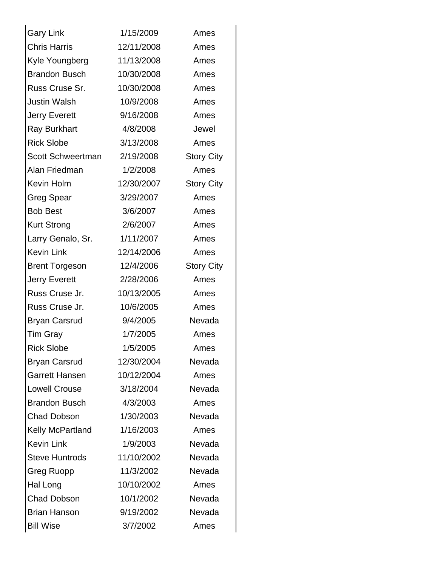| <b>Gary Link</b>        | 1/15/2009  | Ames              |
|-------------------------|------------|-------------------|
| <b>Chris Harris</b>     | 12/11/2008 | Ames              |
| Kyle Youngberg          | 11/13/2008 | Ames              |
| <b>Brandon Busch</b>    | 10/30/2008 | Ames              |
| Russ Cruse Sr.          | 10/30/2008 | Ames              |
| Justin Walsh            | 10/9/2008  | Ames              |
| <b>Jerry Everett</b>    | 9/16/2008  | Ames              |
| <b>Ray Burkhart</b>     | 4/8/2008   | Jewel             |
| <b>Rick Slobe</b>       | 3/13/2008  | Ames              |
| Scott Schweertman       | 2/19/2008  | <b>Story City</b> |
| Alan Friedman           | 1/2/2008   | Ames              |
| Kevin Holm              | 12/30/2007 | <b>Story City</b> |
| <b>Greg Spear</b>       | 3/29/2007  | Ames              |
| <b>Bob Best</b>         | 3/6/2007   | Ames              |
| <b>Kurt Strong</b>      | 2/6/2007   | Ames              |
| Larry Genalo, Sr.       | 1/11/2007  | Ames              |
| <b>Kevin Link</b>       | 12/14/2006 | Ames              |
| <b>Brent Torgeson</b>   | 12/4/2006  | <b>Story City</b> |
| <b>Jerry Everett</b>    | 2/28/2006  | Ames              |
| Russ Cruse Jr.          | 10/13/2005 | Ames              |
| Russ Cruse Jr.          | 10/6/2005  | Ames              |
| <b>Bryan Carsrud</b>    | 9/4/2005   | Nevada            |
| <b>Tim Gray</b>         | 1/7/2005   | Ames              |
| <b>Rick Slobe</b>       | 1/5/2005   | Ames              |
| <b>Bryan Carsrud</b>    | 12/30/2004 | Nevada            |
| <b>Garrett Hansen</b>   | 10/12/2004 | Ames              |
| <b>Lowell Crouse</b>    | 3/18/2004  | Nevada            |
| <b>Brandon Busch</b>    | 4/3/2003   | Ames              |
| <b>Chad Dobson</b>      | 1/30/2003  | Nevada            |
| <b>Kelly McPartland</b> | 1/16/2003  | Ames              |
| <b>Kevin Link</b>       | 1/9/2003   | Nevada            |
| <b>Steve Huntrods</b>   | 11/10/2002 | Nevada            |
| Greg Ruopp              | 11/3/2002  | Nevada            |
| Hal Long                | 10/10/2002 | Ames              |
| <b>Chad Dobson</b>      | 10/1/2002  | Nevada            |
| <b>Brian Hanson</b>     | 9/19/2002  | Nevada            |
| <b>Bill Wise</b>        | 3/7/2002   | Ames              |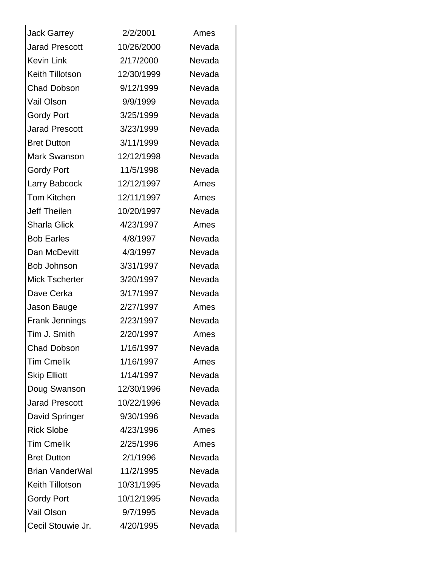| <b>Jack Garrey</b>     | 2/2/2001   | Ames   |
|------------------------|------------|--------|
| <b>Jarad Prescott</b>  | 10/26/2000 | Nevada |
| <b>Kevin Link</b>      | 2/17/2000  | Nevada |
| Keith Tillotson        | 12/30/1999 | Nevada |
| <b>Chad Dobson</b>     | 9/12/1999  | Nevada |
| Vail Olson             | 9/9/1999   | Nevada |
| <b>Gordy Port</b>      | 3/25/1999  | Nevada |
| <b>Jarad Prescott</b>  | 3/23/1999  | Nevada |
| <b>Bret Dutton</b>     | 3/11/1999  | Nevada |
| <b>Mark Swanson</b>    | 12/12/1998 | Nevada |
| <b>Gordy Port</b>      | 11/5/1998  | Nevada |
| Larry Babcock          | 12/12/1997 | Ames   |
| <b>Tom Kitchen</b>     | 12/11/1997 | Ames   |
| <b>Jeff Theilen</b>    | 10/20/1997 | Nevada |
| <b>Sharla Glick</b>    | 4/23/1997  | Ames   |
| <b>Bob Earles</b>      | 4/8/1997   | Nevada |
| Dan McDevitt           | 4/3/1997   | Nevada |
| <b>Bob Johnson</b>     | 3/31/1997  | Nevada |
| <b>Mick Tscherter</b>  | 3/20/1997  | Nevada |
| Dave Cerka             | 3/17/1997  | Nevada |
| Jason Bauge            | 2/27/1997  | Ames   |
| <b>Frank Jennings</b>  | 2/23/1997  | Nevada |
| Tim J. Smith           | 2/20/1997  | Ames   |
| <b>Chad Dobson</b>     | 1/16/1997  | Nevada |
| <b>Tim Cmelik</b>      | 1/16/1997  | Ames   |
| <b>Skip Elliott</b>    | 1/14/1997  | Nevada |
| Doug Swanson           | 12/30/1996 | Nevada |
| <b>Jarad Prescott</b>  | 10/22/1996 | Nevada |
| David Springer         | 9/30/1996  | Nevada |
| <b>Rick Slobe</b>      | 4/23/1996  | Ames   |
| <b>Tim Cmelik</b>      | 2/25/1996  | Ames   |
| <b>Bret Dutton</b>     | 2/1/1996   | Nevada |
| <b>Brian VanderWal</b> | 11/2/1995  | Nevada |
| <b>Keith Tillotson</b> | 10/31/1995 | Nevada |
| <b>Gordy Port</b>      | 10/12/1995 | Nevada |
| Vail Olson             | 9/7/1995   | Nevada |
| Cecil Stouwie Jr.      | 4/20/1995  | Nevada |